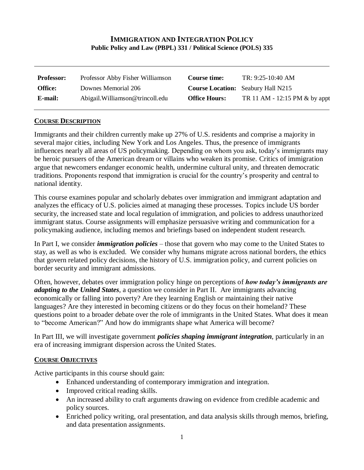# **IMMIGRATION AND INTEGRATION POLICY Public Policy and Law (PBPL) 331 / Political Science (POLS) 335**

| <b>Professor:</b> | Professor Abby Fisher Williamson | Course time:         | TR: 9:25-10:40 AM                         |
|-------------------|----------------------------------|----------------------|-------------------------------------------|
| Office:           | Downes Memorial 206              |                      | <b>Course Location:</b> Seabury Hall N215 |
| E-mail:           | Abigail. Williamson@trincoll.edu | <b>Office Hours:</b> | TR 11 AM - 12:15 PM & by appt             |

#### **COURSE DESCRIPTION**

Immigrants and their children currently make up 27% of U.S. residents and comprise a majority in several major cities, including New York and Los Angeles. Thus, the presence of immigrants influences nearly all areas of US policymaking. Depending on whom you ask, today's immigrants may be heroic pursuers of the American dream or villains who weaken its promise. Critics of immigration argue that newcomers endanger economic health, undermine cultural unity, and threaten democratic traditions. Proponents respond that immigration is crucial for the country's prosperity and central to national identity.

This course examines popular and scholarly debates over immigration and immigrant adaptation and analyzes the efficacy of U.S. policies aimed at managing these processes. Topics include US border security, the increased state and local regulation of immigration, and policies to address unauthorized immigrant status. Course assignments will emphasize persuasive writing and communication for a policymaking audience, including memos and briefings based on independent student research.

In Part I, we consider *immigration policies* – those that govern who may come to the United States to stay, as well as who is excluded. We consider why humans migrate across national borders, the ethics that govern related policy decisions, the history of U.S. immigration policy, and current policies on border security and immigrant admissions.

Often, however, debates over immigration policy hinge on perceptions of *how today's immigrants are adapting to the United States*, a question we consider in Part II. Are immigrants advancing economically or falling into poverty? Are they learning English or maintaining their native languages? Are they interested in becoming citizens or do they focus on their homeland? These questions point to a broader debate over the role of immigrants in the United States. What does it mean to "become American?" And how do immigrants shape what America will become?

In Part III, we will investigate government *policies shaping immigrant integration*, particularly in an era of increasing immigrant dispersion across the United States.

#### **COURSE OBJECTIVES**

Active participants in this course should gain:

- Enhanced understanding of contemporary immigration and integration.
- Improved critical reading skills.
- An increased ability to craft arguments drawing on evidence from credible academic and policy sources.
- Enriched policy writing, oral presentation, and data analysis skills through memos, briefing, and data presentation assignments.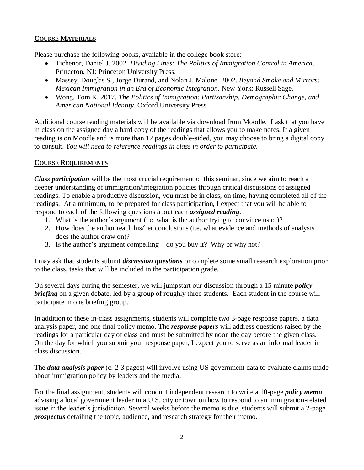### **COURSE MATERIALS**

Please purchase the following books, available in the college book store:

- Tichenor, Daniel J. 2002. *Dividing Lines: The Politics of Immigration Control in America*. Princeton, NJ: Princeton University Press.
- Massey, Douglas S., Jorge Durand, and Nolan J. Malone. 2002. *Beyond Smoke and Mirrors: Mexican Immigration in an Era of Economic Integration.* New York: Russell Sage.
- Wong, Tom K. 2017. *The Politics of Immigration: Partisanship, Demographic Change, and American National Identity*. Oxford University Press.

Additional course reading materials will be available via download from Moodle. I ask that you have in class on the assigned day a hard copy of the readings that allows you to make notes. If a given reading is on Moodle and is more than 12 pages double-sided, you may choose to bring a digital copy to consult. *You will need to reference readings in class in order to participate.* 

### **COURSE REQUIREMENTS**

*Class participation* will be the most crucial requirement of this seminar, since we aim to reach a deeper understanding of immigration/integration policies through critical discussions of assigned readings. To enable a productive discussion, you must be in class, on time, having completed all of the readings. At a minimum, to be prepared for class participation, I expect that you will be able to respond to each of the following questions about each *assigned reading*.

- 1. What is the author's argument (i.e. what is the author trying to convince us of)?
- 2. How does the author reach his/her conclusions (i.e. what evidence and methods of analysis does the author draw on)?
- 3. Is the author's argument compelling do you buy it? Why or why not?

I may ask that students submit *discussion questions* or complete some small research exploration prior to the class, tasks that will be included in the participation grade.

On several days during the semester, we will jumpstart our discussion through a 15 minute *policy briefing* on a given debate, led by a group of roughly three students. Each student in the course will participate in one briefing group.

In addition to these in-class assignments, students will complete two 3-page response papers, a data analysis paper, and one final policy memo. The *response papers* will address questions raised by the readings for a particular day of class and must be submitted by noon the day before the given class. On the day for which you submit your response paper, I expect you to serve as an informal leader in class discussion.

The *data analysis paper* (c. 2-3 pages) will involve using US government data to evaluate claims made about immigration policy by leaders and the media.

For the final assignment, students will conduct independent research to write a 10-page *policy memo* advising a local government leader in a U.S. city or town on how to respond to an immigration-related issue in the leader's jurisdiction. Several weeks before the memo is due, students will submit a 2-page *prospectus* detailing the topic, audience, and research strategy for their memo.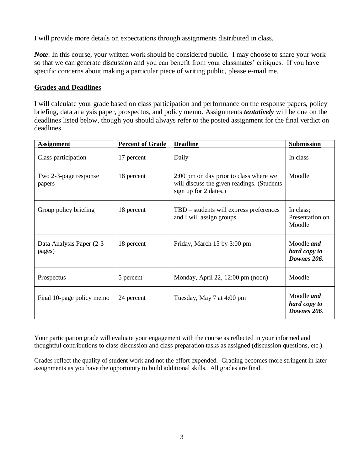I will provide more details on expectations through assignments distributed in class.

*Note*: In this course, your written work should be considered public. I may choose to share your work so that we can generate discussion and you can benefit from your classmates' critiques. If you have specific concerns about making a particular piece of writing public, please e-mail me.

# **Grades and Deadlines**

I will calculate your grade based on class participation and performance on the response papers, policy briefing, data analysis paper, prospectus, and policy memo. Assignments *tentatively* will be due on the deadlines listed below, though you should always refer to the posted assignment for the final verdict on deadlines.

| <b>Assignment</b>                   | <b>Percent of Grade</b> | <b>Deadline</b>                                                                                               | <b>Submission</b>                                |
|-------------------------------------|-------------------------|---------------------------------------------------------------------------------------------------------------|--------------------------------------------------|
| Class participation                 | 17 percent              | Daily                                                                                                         | In class                                         |
| Two 2-3-page response<br>papers     | 18 percent              | 2:00 pm on day prior to class where we<br>will discuss the given readings. (Students<br>sign up for 2 dates.) | Moodle                                           |
| Group policy briefing               | 18 percent              | TBD – students will express preferences<br>and I will assign groups.                                          | In class;<br>Presentation on<br>Moodle           |
| Data Analysis Paper (2-3)<br>pages) | 18 percent              | Friday, March 15 by 3:00 pm                                                                                   | Moodle <i>and</i><br>hard copy to<br>Downes 206. |
| Prospectus                          | 5 percent               | Monday, April 22, $12:00 \text{ pm} \text{ (noon)}$                                                           | Moodle                                           |
| Final 10-page policy memo           | 24 percent              | Tuesday, May 7 at 4:00 pm                                                                                     | Moodle <i>and</i><br>hard copy to<br>Downes 206. |

Your participation grade will evaluate your engagement with the course as reflected in your informed and thoughtful contributions to class discussion and class preparation tasks as assigned (discussion questions, etc.).

Grades reflect the quality of student work and not the effort expended. Grading becomes more stringent in later assignments as you have the opportunity to build additional skills. All grades are final.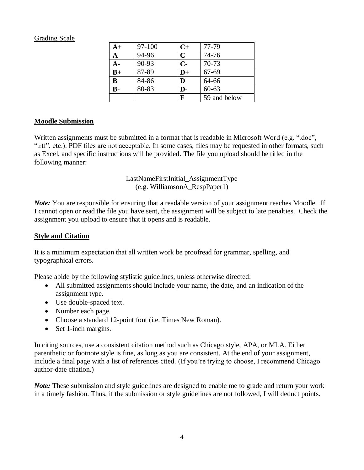### Grading Scale

| $A+$           | 97-100 | $C+$        | 77-79        |
|----------------|--------|-------------|--------------|
| $\mathbf{A}$   | 94-96  | $\mathbf C$ | 74-76        |
| $A -$          | 90-93  | $C-$        | $70 - 73$    |
| $B+$           | 87-89  | $D+$        | $67 - 69$    |
| B              | 84-86  | D           | 64-66        |
| $\mathbf{B}$ - | 80-83  | D-          | $60 - 63$    |
|                |        | F           | 59 and below |

### **Moodle Submission**

Written assignments must be submitted in a format that is readable in Microsoft Word (e.g. ".doc", ".rtf", etc.). PDF files are not acceptable. In some cases, files may be requested in other formats, such as Excel, and specific instructions will be provided. The file you upload should be titled in the following manner:

### LastNameFirstInitial\_AssignmentType (e.g. WilliamsonA\_RespPaper1)

*Note:* You are responsible for ensuring that a readable version of your assignment reaches Moodle. If I cannot open or read the file you have sent, the assignment will be subject to late penalties. Check the assignment you upload to ensure that it opens and is readable.

### **Style and Citation**

It is a minimum expectation that all written work be proofread for grammar, spelling, and typographical errors.

Please abide by the following stylistic guidelines, unless otherwise directed:

- All submitted assignments should include your name, the date, and an indication of the assignment type.
- Use double-spaced text.
- Number each page.
- Choose a standard 12-point font (i.e. Times New Roman).
- Set 1-inch margins.

In citing sources, use a consistent citation method such as Chicago style, APA, or MLA. Either parenthetic or footnote style is fine, as long as you are consistent. At the end of your assignment, include a final page with a list of references cited. (If you're trying to choose, I recommend Chicago author-date citation.)

*Note:* These submission and style guidelines are designed to enable me to grade and return your work in a timely fashion. Thus, if the submission or style guidelines are not followed, I will deduct points.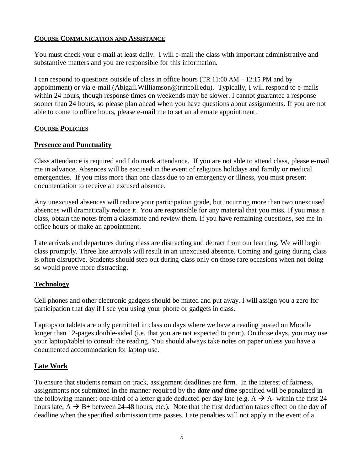### **COURSE COMMUNICATION AND ASSISTANCE**

You must check your e-mail at least daily. I will e-mail the class with important administrative and substantive matters and you are responsible for this information.

I can respond to questions outside of class in office hours (TR 11:00 AM – 12:15 PM and by appointment) or via e-mail (Abigail.Williamson@trincoll.edu). Typically, I will respond to e-mails within 24 hours, though response times on weekends may be slower. I cannot guarantee a response sooner than 24 hours, so please plan ahead when you have questions about assignments. If you are not able to come to office hours, please e-mail me to set an alternate appointment.

### **COURSE POLICIES**

### **Presence and Punctuality**

Class attendance is required and I do mark attendance. If you are not able to attend class, please e-mail me in advance. Absences will be excused in the event of religious holidays and family or medical emergencies. If you miss more than one class due to an emergency or illness, you must present documentation to receive an excused absence.

Any unexcused absences will reduce your participation grade, but incurring more than two unexcused absences will dramatically reduce it. You are responsible for any material that you miss. If you miss a class, obtain the notes from a classmate and review them. If you have remaining questions, see me in office hours or make an appointment.

Late arrivals and departures during class are distracting and detract from our learning. We will begin class promptly. Three late arrivals will result in an unexcused absence. Coming and going during class is often disruptive. Students should step out during class only on those rare occasions when not doing so would prove more distracting.

### **Technology**

Cell phones and other electronic gadgets should be muted and put away. I will assign you a zero for participation that day if I see you using your phone or gadgets in class.

Laptops or tablets are only permitted in class on days where we have a reading posted on Moodle longer than 12-pages double-sided (i.e. that you are not expected to print). On those days, you may use your laptop/tablet to consult the reading. You should always take notes on paper unless you have a documented accommodation for laptop use.

### **Late Work**

To ensure that students remain on track, assignment deadlines are firm. In the interest of fairness, assignments not submitted in the manner required by the *date and time* specified will be penalized in the following manner: one-third of a letter grade deducted per day late (e.g.  $A \rightarrow A$ - within the first 24 hours late,  $A \rightarrow B+$  between 24-48 hours, etc.). Note that the first deduction takes effect on the day of deadline when the specified submission time passes. Late penalties will not apply in the event of a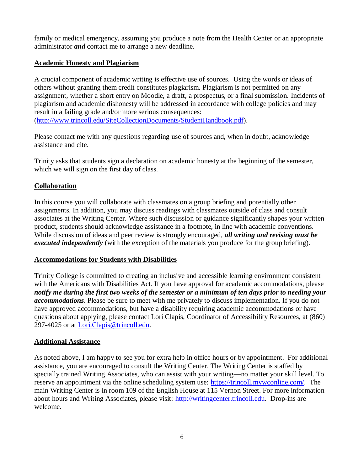family or medical emergency, assuming you produce a note from the Health Center or an appropriate administrator *and* contact me to arrange a new deadline.

# **Academic Honesty and Plagiarism**

A crucial component of academic writing is effective use of sources. Using the words or ideas of others without granting them credit constitutes plagiarism. Plagiarism is not permitted on any assignment, whether a short entry on Moodle, a draft, a prospectus, or a final submission. Incidents of plagiarism and academic dishonesty will be addressed in accordance with college policies and may result in a failing grade and/or more serious consequences: [\(http://www.trincoll.edu/SiteCollectionDocuments/StudentHandbook.pdf\)](http://www.trincoll.edu/SiteCollectionDocuments/StudentHandbook.pdf).

Please contact me with any questions regarding use of sources and, when in doubt, acknowledge assistance and cite.

Trinity asks that students sign a declaration on academic honesty at the beginning of the semester, which we will sign on the first day of class.

# **Collaboration**

In this course you will collaborate with classmates on a group briefing and potentially other assignments. In addition, you may discuss readings with classmates outside of class and consult associates at the Writing Center. Where such discussion or guidance significantly shapes your written product, students should acknowledge assistance in a footnote, in line with academic conventions. While discussion of ideas and peer review is strongly encouraged, *all writing and revising must be executed independently* (with the exception of the materials you produce for the group briefing).

## **Accommodations for Students with Disabilities**

Trinity College is committed to creating an inclusive and accessible learning environment consistent with the Americans with Disabilities Act. If you have approval for academic accommodations, please *notify me during the first two weeks of the semester or a minimum of ten days prior to needing your accommodations*. Please be sure to meet with me privately to discuss implementation. If you do not have approved accommodations, but have a disability requiring academic accommodations or have questions about applying, please contact Lori Clapis, Coordinator of Accessibility Resources, at (860) 297-4025 or at [Lori.Clapis@trincoll.edu.](mailto:Lori.Clapis@trincoll.edu)

## **Additional Assistance**

As noted above, I am happy to see you for extra help in office hours or by appointment. For additional assistance, you are encouraged to consult the Writing Center. The Writing Center is staffed by specially trained Writing Associates, who can assist with your writing—no matter your skill level. To reserve an appointment via the online scheduling system use: [https://trincoll.mywconline.com/.](https://trincoll.mywconline.com/) The main Writing Center is in room 109 of the English House at 115 Vernon Street. For more information about hours and Writing Associates, please visit: [http://writingcenter.trincoll.edu.](http://writingcenter.trincoll.edu/) Drop-ins are welcome.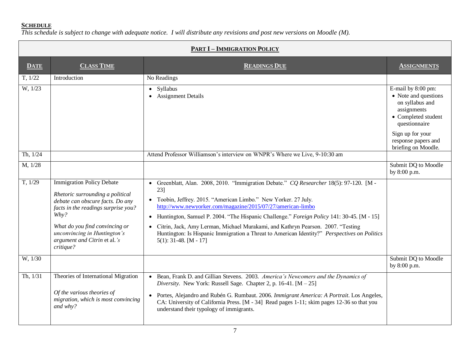#### **SCHEDULE**

*This schedule is subject to change with adequate notice. I will distribute any revisions and post new versions on Moodle (M).*

| <b>PART I - IMMIGRATION POLICY</b> |                                                                                                                                                                                                                                                                        |                                                                                                                                                                                                                                                                                                                                                                                                                                                                                                                                                |                                                                                                                                                                                        |
|------------------------------------|------------------------------------------------------------------------------------------------------------------------------------------------------------------------------------------------------------------------------------------------------------------------|------------------------------------------------------------------------------------------------------------------------------------------------------------------------------------------------------------------------------------------------------------------------------------------------------------------------------------------------------------------------------------------------------------------------------------------------------------------------------------------------------------------------------------------------|----------------------------------------------------------------------------------------------------------------------------------------------------------------------------------------|
| <b>DATE</b>                        | <b>CLASS TIME</b>                                                                                                                                                                                                                                                      | <b>READINGS DUE</b>                                                                                                                                                                                                                                                                                                                                                                                                                                                                                                                            | <b>ASSIGNMENTS</b>                                                                                                                                                                     |
| T, 1/22                            | Introduction                                                                                                                                                                                                                                                           | No Readings                                                                                                                                                                                                                                                                                                                                                                                                                                                                                                                                    |                                                                                                                                                                                        |
| W, 1/23                            |                                                                                                                                                                                                                                                                        | • Syllabus<br>• Assignment Details                                                                                                                                                                                                                                                                                                                                                                                                                                                                                                             | E-mail by 8:00 pm:<br>• Note and questions<br>on syllabus and<br>assignments<br>• Completed student<br>questionnaire<br>Sign up for your<br>response papers and<br>briefing on Moodle. |
| Th, 1/24                           |                                                                                                                                                                                                                                                                        | Attend Professor Williamson's interview on WNPR's Where we Live, 9-10:30 am                                                                                                                                                                                                                                                                                                                                                                                                                                                                    |                                                                                                                                                                                        |
| M, 1/28                            |                                                                                                                                                                                                                                                                        |                                                                                                                                                                                                                                                                                                                                                                                                                                                                                                                                                | Submit DQ to Moodle<br>by 8:00 p.m.                                                                                                                                                    |
| T, 1/29                            | <b>Immigration Policy Debate</b><br>Rhetoric surrounding a political<br>debate can obscure facts. Do any<br>facts in the readings surprise you?<br>Why?<br>What do you find convincing or<br>unconvincing in Huntington's<br>argument and Citrin et al.'s<br>critique? | • Greenblatt, Alan. 2008, 2010. "Immigration Debate." CQ Researcher 18(5): 97-120. [M -<br>23]<br>• Toobin, Jeffrey. 2015. "American Limbo." New Yorker. 27 July.<br>http://www.newyorker.com/magazine/2015/07/27/american-limbo<br>• Huntington, Samuel P. 2004. "The Hispanic Challenge." Foreign Policy 141: 30-45. [M - 15]<br>Citrin, Jack, Amy Lerman, Michael Murakami, and Kathryn Pearson. 2007. "Testing<br>Huntington: Is Hispanic Immigration a Threat to American Identity?" Perspectives on Politics<br>$5(1)$ : 31-48. [M - 17] |                                                                                                                                                                                        |
| W, 1/30                            |                                                                                                                                                                                                                                                                        |                                                                                                                                                                                                                                                                                                                                                                                                                                                                                                                                                | Submit DQ to Moodle<br>by 8:00 p.m.                                                                                                                                                    |
| Th, 1/31                           | Theories of International Migration<br>Of the various theories of<br>migration, which is most convincing<br>and why?                                                                                                                                                   | • Bean, Frank D. and Gillian Stevens. 2003. America's Newcomers and the Dynamics of<br>Diversity. New York: Russell Sage. Chapter 2, p. 16-41. $[M - 25]$<br>Portes, Alejandro and Rubén G. Rumbaut. 2006. Immigrant America: A Portrait. Los Angeles,<br>CA: University of California Press. [M - 34] Read pages 1-11; skim pages 12-36 so that you<br>understand their typology of immigrants.                                                                                                                                               |                                                                                                                                                                                        |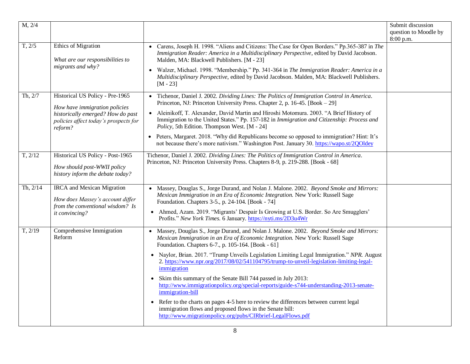| M, 2/4   |                                                                                                           |                                                                                                                                                                                                                                          | Submit discussion<br>question to Moodle by<br>8:00 p.m. |
|----------|-----------------------------------------------------------------------------------------------------------|------------------------------------------------------------------------------------------------------------------------------------------------------------------------------------------------------------------------------------------|---------------------------------------------------------|
| T, 2/5   | Ethics of Migration<br>What are our responsibilities to<br>migrants and why?                              | • Carens, Joseph H. 1998. "Aliens and Citizens: The Case for Open Borders." Pp.365-387 in The<br>Immigration Reader: America in a Multidisciplinary Perspective, edited by David Jacobson.<br>Malden, MA: Blackwell Publishers. [M - 23] |                                                         |
|          |                                                                                                           | Walzer, Michael. 1998. "Membership." Pp. 341-364 in The Immigration Reader: America in a<br>Multidisciplinary Perspective, edited by David Jacobson. Malden, MA: Blackwell Publishers.<br>$[M - 23]$                                     |                                                         |
| Th, 2/7  | Historical US Policy - Pre-1965<br>How have immigration policies                                          | • Tichenor, Daniel J. 2002. Dividing Lines: The Politics of Immigration Control in America.<br>Princeton, NJ: Princeton University Press. Chapter 2, p. 16-45. [Book - 29]                                                               |                                                         |
|          | historically emerged? How do past<br>policies affect today's prospects for<br>reform?                     | • Aleinikoff, T. Alexander, David Martin and Hiroshi Motomura. 2003. "A Brief History of<br>Immigration to the United States." Pp. 157-182 in Immigration and Citizenship: Process and<br>Policy, 5th Edition. Thompson West. [M - 24]   |                                                         |
|          |                                                                                                           | • Peters, Margaret. 2018. "Why did Republicans become so opposed to immigration? Hint: It's<br>not because there's more nativism." Washington Post. January 30. https://wapo.st/2QOldey                                                  |                                                         |
| T, 2/12  | Historical US Policy - Post-1965<br>How should post-WWII policy<br>history inform the debate today?       | Tichenor, Daniel J. 2002. Dividing Lines: The Politics of Immigration Control in America.<br>Princeton, NJ: Princeton University Press. Chapters 8-9, p. 219-288. [Book - 68]                                                            |                                                         |
| Th, 2/14 | <b>IRCA</b> and Mexican Migration<br>How does Massey's account differ<br>from the conventional wisdom? Is | • Massey, Douglas S., Jorge Durand, and Nolan J. Malone. 2002. Beyond Smoke and Mirrors:<br>Mexican Immigration in an Era of Economic Integration. New York: Russell Sage<br>Foundation. Chapters 3-5., p. 24-104. [Book - 74]           |                                                         |
|          | it convincing?                                                                                            | Ahmed, Azam. 2019. "Migrants' Despair Is Growing at U.S. Border. So Are Smugglers'<br>Profits." New York Times. 6 January. https://nyti.ms/2D3u4Wr                                                                                       |                                                         |
| T, 2/19  | Comprehensive Immigration<br>Reform                                                                       | Massey, Douglas S., Jorge Durand, and Nolan J. Malone. 2002. Beyond Smoke and Mirrors:<br>Mexican Immigration in an Era of Economic Integration. New York: Russell Sage<br>Foundation. Chapters 6-7., p. 105-164. [Book - 61]            |                                                         |
|          |                                                                                                           | Naylor, Brian. 2017. "Trump Unveils Legislation Limiting Legal Immigration." NPR. August<br>2. https://www.npr.org/2017/08/02/541104795/trump-to-unveil-legislation-limiting-legal-<br>immigration                                       |                                                         |
|          |                                                                                                           | Skim this summary of the Senate Bill 744 passed in July 2013:<br>$\bullet$<br>http://www.immigrationpolicy.org/special-reports/guide-s744-understanding-2013-senate-<br>immigration-bill                                                 |                                                         |
|          |                                                                                                           | Refer to the charts on pages 4-5 here to review the differences between current legal<br>$\bullet$<br>immigration flows and proposed flows in the Senate bill:<br>http://www.migrationpolicy.org/pubs/CIRbrief-LegalFlows.pdf            |                                                         |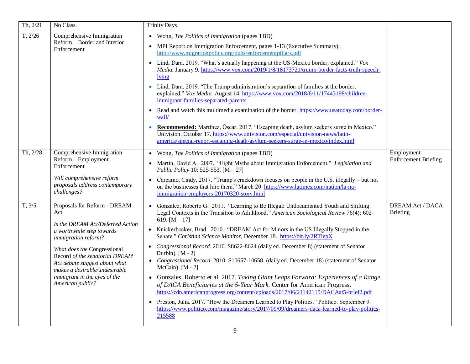| Th, 2/21 | No Class.                                                                                                                                                                                                                                                                                                          | <b>Trinity Days</b>                                                                                                                                                                                                                                                                                                                                                                                                                                                                                                                                                                                                                                                                                                                                                                                                                                                                                                                                                                                                                                                                                        |                                           |
|----------|--------------------------------------------------------------------------------------------------------------------------------------------------------------------------------------------------------------------------------------------------------------------------------------------------------------------|------------------------------------------------------------------------------------------------------------------------------------------------------------------------------------------------------------------------------------------------------------------------------------------------------------------------------------------------------------------------------------------------------------------------------------------------------------------------------------------------------------------------------------------------------------------------------------------------------------------------------------------------------------------------------------------------------------------------------------------------------------------------------------------------------------------------------------------------------------------------------------------------------------------------------------------------------------------------------------------------------------------------------------------------------------------------------------------------------------|-------------------------------------------|
| T, 2/26  | Comprehensive Immigration<br>Reform – Border and Interior<br>Enforcement                                                                                                                                                                                                                                           | • Wong, The Politics of Immigration (pages TBD)<br>• MPI Report on Immigration Enforcement, pages 1-13 (Executive Summary):<br>http://www.migrationpolicy.org/pubs/enforcementpillars.pdf<br>• Lind, Dara. 2019. "What's actually happening at the US-Mexico border, explained." Vox<br>Media. January 9. https://www.vox.com/2019/1/8/18173721/trump-border-facts-truth-speech-<br>lying<br>• Lind, Dara. 2019. "The Trump administration's separation of families at the border,<br>explained." Vox Media. August 14. https://www.vox.com/2018/6/11/17443198/children-<br>immigrant-families-separated-parents<br>Read and watch this multimedia examination of the border. https://www.usatoday.com/border-<br>wall/<br>Recommended: Martínez, Óscar. 2017. "Escaping death, asylum seekers surge in Mexico."<br>Univision. October 17. https://www.univision.com/especial/univision-news/latin-<br>america/special-report-escaping-death-asylum-seekers-surge-in-mexico/index.html                                                                                                                     |                                           |
| Th, 2/28 | Comprehensive Immigration<br>Reform - Employment<br>Enforcement<br>Will comprehensive reform<br>proposals address contemporary<br>challenges?                                                                                                                                                                      | • Wong, The Politics of Immigration (pages TBD)<br>Martin, David A. 2007. "Eight Myths about Immigration Enforcement." Legislation and<br>Public Policy 10: 525-553. $[M - 27]$<br>Carcamo, Cindy. 2017. "Trump's crackdown focuses on people in the U.S. illegally – but not<br>on the businesses that hire them." March 20. https://www.latimes.com/nation/la-na-<br>immigration-employers-20170320-story.html                                                                                                                                                                                                                                                                                                                                                                                                                                                                                                                                                                                                                                                                                           | Employment<br><b>Enforcement Briefing</b> |
| T, 3/5   | Proposals for Reform - DREAM<br>Act<br>Is the DREAM Act/Deferred Action<br>a worthwhile step towards<br>immigration reform?<br>What does the Congressional<br>Record of the senatorial DREAM<br>Act debate suggest about what<br>makes a desirable/undesirable<br>immigrant in the eyes of the<br>American public? | Gonzalez, Roberto G. 2011. "Learning to Be Illegal: Undocumented Youth and Shifting<br>$\bullet$<br>Legal Contexts in the Transition to Adulthood." American Sociological Review 76(4): 602–<br>619. $[M - 17]$<br>• Knickerbocker, Brad. 2010. "DREAM Act for Minors in the US Illegally Stopped in the<br>Senate." Christian Science Monitor, December 18. https://bit.ly/2RTiepX<br>Congressional Record. 2010. S8622-8624 (daily ed. December 8) (statement of Senator<br>$\bullet$<br>Durbin). [M - 2]<br>• Congressional Record. 2010. S10657-10658. (daily ed. December 18) (statement of Senator<br>McCain). $[M - 2]$<br>• Gonzales, Roberto et al. 2017. Taking Giant Leaps Forward: Experiences of a Range<br>of DACA Beneficiaries at the 5-Year Mark. Center for American Progress.<br>https://cdn.americanprogress.org/content/uploads/2017/06/21142115/DACAat5-brief2.pdf<br>Preston, Julia. 2017. "How the Dreamers Learned to Play Politics." Politico. September 9.<br>$\bullet$<br>https://www.politico.com/magazine/story/2017/09/09/dreamers-daca-learned-to-play-politics-<br>215588 | <b>DREAM Act / DACA</b><br>Briefing       |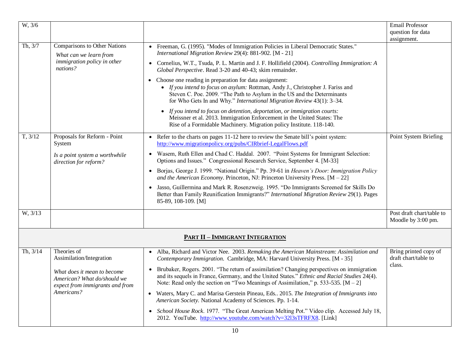| $\overline{W}$ , 3/6 |                                                                                                   |                                                                                                                                                                                                                                                                                                                                                                          | <b>Email Professor</b><br>question for data<br>assignment. |
|----------------------|---------------------------------------------------------------------------------------------------|--------------------------------------------------------------------------------------------------------------------------------------------------------------------------------------------------------------------------------------------------------------------------------------------------------------------------------------------------------------------------|------------------------------------------------------------|
| Th, 3/7              | Comparisons to Other Nations<br>What can we learn from<br>immigration policy in other<br>nations? | • Freeman, G. (1995). "Modes of Immigration Policies in Liberal Democratic States."<br>International Migration Review 29(4): 881-902. [M - 21]<br>• Cornelius, W.T., Tsuda, P. L. Martin and J. F. Hollifield (2004). Controlling Immigration: A<br>Global Perspective. Read 3-20 and 40-43; skim remainder.<br>• Choose one reading in preparation for data assignment: |                                                            |
|                      |                                                                                                   | • If you intend to focus on asylum: Rottman, Andy J., Christopher J. Fariss and<br>Steven C. Poe. 2009. "The Path to Asylum in the US and the Determinants<br>for Who Gets In and Why." International Migration Review 43(1): 3-34.                                                                                                                                      |                                                            |
|                      |                                                                                                   | • If you intend to focus on detention, deportation, or immigration courts:<br>Meissner et al. 2013. Immigration Enforcement in the United States: The<br>Rise of a Formidable Machinery. Migration policy Institute. 118-140.                                                                                                                                            |                                                            |
| T, 3/12              | Proposals for Reform - Point<br>System                                                            | • Refer to the charts on pages 11-12 here to review the Senate bill's point system:<br>http://www.migrationpolicy.org/pubs/CIRbrief-LegalFlows.pdf                                                                                                                                                                                                                       | Point System Briefing                                      |
|                      | Is a point system a worthwhile<br>direction for reform?                                           | • Wasem, Ruth Ellen and Chad C. Haddal. 2007. "Point Systems for Immigrant Selection:<br>Options and Issues." Congressional Research Service, September 4. [M-33]                                                                                                                                                                                                        |                                                            |
|                      |                                                                                                   | Borjas, George J. 1999. "National Origin." Pp. 39-61 in Heaven's Door: Immigration Policy<br>$\bullet$<br>and the American Economy. Princeton, NJ: Princeton University Press. $[M - 22]$                                                                                                                                                                                |                                                            |
|                      |                                                                                                   | Jasso, Guillermina and Mark R. Rosenzweig. 1995. "Do Immigrants Screened for Skills Do<br>Better than Family Reunification Immigrants?" International Migration Review 29(1). Pages<br>85-89, 108-109. [M]                                                                                                                                                               |                                                            |
| W, 3/13              |                                                                                                   |                                                                                                                                                                                                                                                                                                                                                                          | Post draft chart/table to<br>Moodle by 3:00 pm.            |
|                      |                                                                                                   | <b>PART II - IMMIGRANT INTEGRATION</b>                                                                                                                                                                                                                                                                                                                                   |                                                            |
| Th, 3/14             | Theories of<br>Assimilation/Integration                                                           | • Alba, Richard and Victor Nee. 2003. Remaking the American Mainstream: Assimilation and<br>Contemporary Immigration. Cambridge, MA: Harvard University Press. [M - 35]                                                                                                                                                                                                  | Bring printed copy of<br>draft chart/table to              |
|                      | What does it mean to become<br>American? What do/should we<br>expect from immigrants and from     | Brubaker, Rogers. 2001. "The return of assimilation? Changing perspectives on immigration<br>$\bullet$<br>and its sequels in France, Germany, and the United States." Ethnic and Racial Studies 24(4).<br>Note: Read only the section on "Two Meanings of Assimilation," p. 533-535. $[M - 2]$                                                                           | class.                                                     |
|                      | Americans?                                                                                        | Waters, Mary C. and Marisa Gerstein Pineau, Eds 2015. The Integration of Immigrants into<br>American Society. National Academy of Sciences. Pp. 1-14.                                                                                                                                                                                                                    |                                                            |
|                      |                                                                                                   | School House Rock. 1977. "The Great American Melting Pot." Video clip. Accessed July 18,<br>2012. YouTube. http://www.youtube.com/watch?v=3213sTFRFX8. [Link]                                                                                                                                                                                                            |                                                            |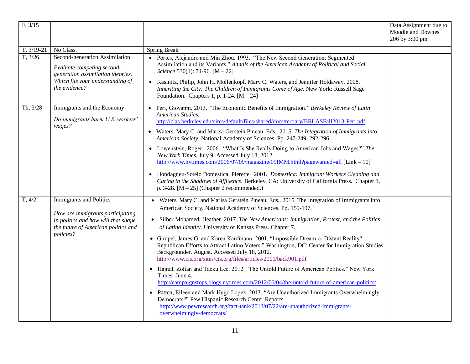| F, 3/15      |                                                                                                                                                               |                                                                                                                                                                                                                                                                                                                                                                                                                                                                                                                                                                                                                                                                                                                                                                                                                                                                                                                                                                                                                                                                                                                                | Data Assignment due to<br>Moodle and Downes<br>206 by 3:00 pm. |
|--------------|---------------------------------------------------------------------------------------------------------------------------------------------------------------|--------------------------------------------------------------------------------------------------------------------------------------------------------------------------------------------------------------------------------------------------------------------------------------------------------------------------------------------------------------------------------------------------------------------------------------------------------------------------------------------------------------------------------------------------------------------------------------------------------------------------------------------------------------------------------------------------------------------------------------------------------------------------------------------------------------------------------------------------------------------------------------------------------------------------------------------------------------------------------------------------------------------------------------------------------------------------------------------------------------------------------|----------------------------------------------------------------|
| $T, 3/19-21$ | No Class.                                                                                                                                                     | Spring Break                                                                                                                                                                                                                                                                                                                                                                                                                                                                                                                                                                                                                                                                                                                                                                                                                                                                                                                                                                                                                                                                                                                   |                                                                |
| T, 3/26      | Second-generation Assimilation<br>Evaluate competing second-<br>generation assimilation theories.<br>Which fits your understanding of<br>the evidence?        | • Portes, Alejandro and Min Zhou. 1993. "The New Second Generation: Segmented<br>Assimilation and its Variants." Annals of the American Academy of Political and Social<br>Science 530(1): 74-96. $[M - 22]$<br>Kasinitz, Philip, John H. Mollenkopf, Mary C. Waters, and Jennifer Holdaway. 2008.<br>$\bullet$<br>Inheriting the City: The Children of Immigrants Come of Age. New York: Russell Sage<br>Foundation. Chapters 1, p. 1-24. $[M - 24]$                                                                                                                                                                                                                                                                                                                                                                                                                                                                                                                                                                                                                                                                          |                                                                |
| Th, 3/28     | Immigrants and the Economy<br>Do immigrants harm U.S. workers'<br>wages?                                                                                      | Peri, Giovanni. 2013. "The Economic Benefits of Immigration." Berkeley Review of Latin<br>$\bullet$<br>American Studies.<br>http://clas.berkeley.edu/sites/default/files/shared/docs/tertiary/BRLASFall2013-Peri.pdf<br>• Waters, Mary C. and Marisa Gerstein Pineau, Eds 2015. The Integration of Immigrants into<br>American Society. National Academy of Sciences. Pp. 247-249, 292-296.<br>Lowenstein, Roger. 2006. "What Is She Really Doing to American Jobs and Wages?" The<br>New York Times, July 9. Accessed July 18, 2012.<br>http://www.nytimes.com/2006/07/09/magazine/09IMM.html?pagewanted=all [Link - 10]<br>Hondagneu-Sotelo Domestica, Pierette. 2001. Domestica: Immigrant Workers Cleaning and<br>Caring in the Shadows of Affluence. Berkeley, CA: University of California Press. Chapter 1,<br>p. 3-28. $[M - 25]$ (Chapter 2 recommended.)                                                                                                                                                                                                                                                             |                                                                |
| T, 4/2       | <b>Immigrants and Politics</b><br>How are immigrants participating<br>in politics and how will that shape<br>the future of American politics and<br>policies? | • Waters, Mary C. and Marisa Gerstein Pineau, Eds 2015. The Integration of Immigrants into<br>American Society. National Academy of Sciences. Pp. 159-197.<br>Silber Mohamed, Heather. 2017. The New Americans: Immigration, Protest, and the Politics<br>$\bullet$<br>of Latino Identity. University of Kansas Press. Chapter 7.<br>• Gimpel, James G. and Karen Kaufmann. 2001. "Impossible Dream or Distant Reality?:<br>Republican Efforts to Attract Latino Voters." Washington, DC: Center for Immigration Studies<br>Backgrounder. August. Accessed July 18, 2012.<br>http://www.cis.org/sites/cis.org/files/articles/2001/back901.pdf<br>Hajnal, Zoltan and Taeku Lee. 2012. "The Untold Future of American Politics." New York<br>Times. June 4.<br>http://campaignstops.blogs.nytimes.com/2012/06/04/the-untold-future-of-american-politics/<br>Patten, Eileen and Mark Hugo Lopez. 2013. "Are Unauthorized Immigrants Overwhelmingly<br>$\bullet$<br>Democrats?" Pew Hispanic Research Center Reports.<br>http://www.pewresearch.org/fact-tank/2013/07/22/are-unauthorized-immigrants-<br>overwhelmingly-democrats/ |                                                                |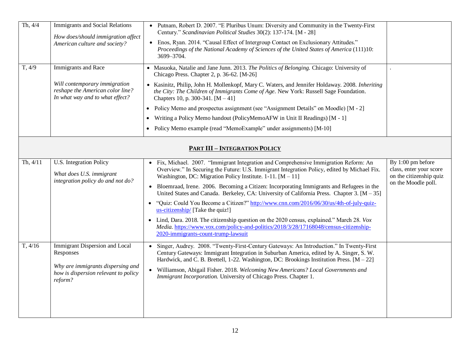| Th, 4/4<br>T, 4/9 | <b>Immigrants and Social Relations</b><br>How does/should immigration affect<br>American culture and society?<br><b>Immigrants</b> and Race | • Putnam, Robert D. 2007. "E Pluribus Unum: Diversity and Community in the Twenty-First<br>Century." Scandinavian Political Studies 30(2): 137-174. [M - 28]<br>• Enos, Ryan. 2014. "Causal Effect of Intergroup Contact on Exclusionary Attitudes."<br>Proceedings of the National Academy of Sciences of the United States of America (111)10:<br>3699-3704.<br>• Masuoka, Natalie and Jane Junn. 2013. The Politics of Belonging. Chicago: University of                                                                                                                                                                                                                                                                                                                                                      |                                                                                                |
|-------------------|---------------------------------------------------------------------------------------------------------------------------------------------|------------------------------------------------------------------------------------------------------------------------------------------------------------------------------------------------------------------------------------------------------------------------------------------------------------------------------------------------------------------------------------------------------------------------------------------------------------------------------------------------------------------------------------------------------------------------------------------------------------------------------------------------------------------------------------------------------------------------------------------------------------------------------------------------------------------|------------------------------------------------------------------------------------------------|
|                   | Will contemporary immigration<br>reshape the American color line?<br>In what way and to what effect?                                        | Chicago Press. Chapter 2, p. 36-62. [M-26]<br>• Kasinitz, Philip, John H. Mollenkopf, Mary C. Waters, and Jennifer Holdaway. 2008. Inheriting<br>the City: The Children of Immigrants Come of Age. New York: Russell Sage Foundation.<br>Chapters 10, p. 300-341. $[M - 41]$<br>• Policy Memo and prospectus assignment (see "Assignment Details" on Moodle) [M - 2]<br>Writing a Policy Memo handout (PolicyMemoAFW in Unit II Readings) [M - 1]<br>$\bullet$<br>• Policy Memo example (read "MemoExample" under assignments) [M-10]                                                                                                                                                                                                                                                                            |                                                                                                |
|                   |                                                                                                                                             | <b>PART III - INTEGRATION POLICY</b>                                                                                                                                                                                                                                                                                                                                                                                                                                                                                                                                                                                                                                                                                                                                                                             |                                                                                                |
| Th, 4/11          | U.S. Integration Policy<br>What does U.S. immigrant<br>integration policy do and not do?                                                    | • Fix, Michael. 2007. "Immigrant Integration and Comprehensive Immigration Reform: An<br>Overview." In Securing the Future: U.S. Immigrant Integration Policy, edited by Michael Fix.<br>Washington, DC: Migration Policy Institute. 1-11. $[M - 11]$<br>• Bloemraad, Irene. 2006. Becoming a Citizen: Incorporating Immigrants and Refugees in the<br>United States and Canada. Berkeley, CA: University of California Press. Chapter 3. $[M - 35]$<br>"Quiz: Could You Become a Citizen?" http://www.cnn.com/2016/06/30/us/4th-of-july-quiz-<br>us-citizenship/ [Take the quiz!]<br>• Lind, Dara. 2018. The citizenship question on the 2020 census, explained." March 28. Vox<br>Media. https://www.vox.com/policy-and-politics/2018/3/28/17168048/census-citizenship-<br>2020-immigrants-count-trump-lawsuit | By 1:00 pm before<br>class, enter your score<br>on the citizenship quiz<br>on the Moodle poll. |
| T, 4/16           | Immigrant Dispersion and Local<br>Responses<br>Why are immigrants dispersing and<br>how is dispersion relevant to policy<br>reform?         | Singer, Audrey. 2008. "Twenty-First-Century Gateways: An Introduction." In Twenty-First<br>Century Gateways: Immigrant Integration in Suburban America, edited by A. Singer, S. W.<br>Hardwick, and C. B. Brettell, 1-22. Washington, DC: Brookings Institution Press. [M - 22]<br>• Williamson, Abigail Fisher. 2018. Welcoming New Americans? Local Governments and<br>Immigrant Incorporation. University of Chicago Press. Chapter 1.                                                                                                                                                                                                                                                                                                                                                                        |                                                                                                |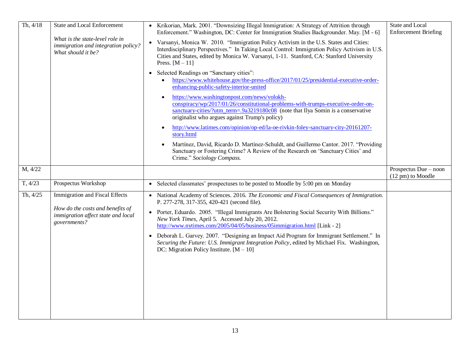| Th, 4/18 | State and Local Enforcement                                                                  | • Krikorian, Mark. 2001. "Downsizing Illegal Immigration: A Strategy of Attrition through<br>Enforcement." Washington, DC: Center for Immigration Studies Backgrounder. May. [M - 6]                                                                                                                               | State and Local<br><b>Enforcement Briefing</b> |
|----------|----------------------------------------------------------------------------------------------|--------------------------------------------------------------------------------------------------------------------------------------------------------------------------------------------------------------------------------------------------------------------------------------------------------------------|------------------------------------------------|
|          | What is the state-level role in<br>immigration and integration policy?<br>What should it be? | Varsanyi, Monica W. 2010. "Immigration Policy Activism in the U.S. States and Cities:<br>$\bullet$<br>Interdisciplinary Perspectives." In Taking Local Control: Immigration Policy Activism in U.S.<br>Cities and States, edited by Monica W. Varsanyi, 1-11. Stanford, CA: Stanford University<br>Press. $[M-11]$ |                                                |
|          |                                                                                              | Selected Readings on "Sanctuary cities":<br>٠<br>https://www.whitehouse.gov/the-press-office/2017/01/25/presidential-executive-order-<br>enhancing-public-safety-interior-united                                                                                                                                   |                                                |
|          |                                                                                              | https://www.washingtonpost.com/news/volokh-<br>conspiracy/wp/2017/01/26/constitutional-problems-with-trumps-executive-order-on-<br>sanctuary-cities/?utm_term=.9a3219180c08 (note that Ilya Somin is a conservative<br>originalist who argues against Trump's policy)                                              |                                                |
|          |                                                                                              | http://www.latimes.com/opinion/op-ed/la-oe-rivkin-foley-sanctuary-city-20161207-<br>story.html                                                                                                                                                                                                                     |                                                |
|          |                                                                                              | Martínez, David, Ricardo D. Martínez-Schuldt, and Guillermo Cantor. 2017. "Providing<br>Sanctuary or Fostering Crime? A Review of the Research on 'Sanctuary Cities' and<br>Crime." Sociology Compass.                                                                                                             |                                                |
| M, 4/22  |                                                                                              |                                                                                                                                                                                                                                                                                                                    | Prospectus Due - noon<br>(12 pm) to Moodle     |
| T, 4/23  | Prospectus Workshop                                                                          | Selected classmates' prospectuses to be posted to Moodle by 5:00 pm on Monday<br>$\bullet$                                                                                                                                                                                                                         |                                                |
| Th, 4/25 | Immigration and Fiscal Effects                                                               | • National Academy of Sciences. 2016. The Economic and Fiscal Consequences of Immigration.<br>P. 277-278, 317-355, 420-421 (second file).                                                                                                                                                                          |                                                |
|          | How do the costs and benefits of<br>immigration affect state and local<br>governments?       | Porter, Eduardo. 2005. "Illegal Immigrants Are Bolstering Social Security With Billions."<br>New York Times, April 5. Accessed July 20, 2012.<br>http://www.nytimes.com/2005/04/05/business/05immigration.html [Link - 2]                                                                                          |                                                |
|          |                                                                                              | Deborah L. Garvey. 2007. "Designing an Impact Aid Program for Immigrant Settlement." In<br>Securing the Future: U.S. Immigrant Integration Policy, edited by Michael Fix. Washington,<br>DC: Migration Policy Institute. $[M - 10]$                                                                                |                                                |
|          |                                                                                              |                                                                                                                                                                                                                                                                                                                    |                                                |
|          |                                                                                              |                                                                                                                                                                                                                                                                                                                    |                                                |
|          |                                                                                              |                                                                                                                                                                                                                                                                                                                    |                                                |